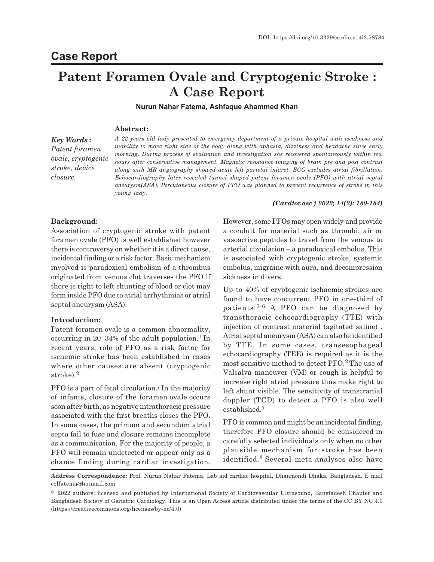# **Patent Foramen Ovale and Cryptogenic Stroke : A Case Report**

**Nurun Nahar Fatema, Ashfaque Ahammed Khan**

## **Abstract:**

*Key Words : Patent foramen ovale, cryptogenic stroke, device closure.*

*A 22 years old lady presented to emergency department of a private hospital with weakness and inability to move right side of the body along with aphasia, dizziness and headache since early morning. During process of evaluation and investigation she recovered spontaneously within few hours after conservative management. Magnetic resonance imaging of brain pre and post contrast along with MR angiography showed acute left parietal infarct. ECG excludes atrial fibrillation. Echocardiography later revealed tunnel shaped patent foramen ovale (PFO) with atrial septal aneurysm(ASA). Percutaneous closure of PFO was planned to prevent recurrence of stroke in this young lady.*

## *(Cardiovasc j 2022; 14(2): 180-184)*

## **Background:**

Association of cryptogenic stroke with patent foramen ovale (PFO) is well established however there is controversy on whether it is a direct cause, incidental finding or a risk factor. Basic mechanism involved is paradoxical embolism of a thrombus originated from venous clot traverses the PFO if there is right to left shunting of blood or clot may form inside PFO due to atrial arrhythmias or atrial septal aneurysm (ASA).

## **Introduction:**

Patent foramen ovale is a common abnormality, occurring in 20–34% of the adult population.<sup>1</sup> In recent years, role of PFO as a risk factor for ischemic stroke has been established in cases where other causes are absent (cryptogenic stroke).<sup>2</sup>

PFO is a part of fetal circulation./ In the majority of infants, closure of the foramen ovale occurs soon after birth, as negative intrathoracic pressure associated with the first breaths closes the PFO. In some cases, the primum and secundum atrial septa fail to fuse and closure remains incomplete as a communication. For the majority of people, a PFO will remain undetected or appear only as a chance finding during cardiac investigation. However, some PFOs may open widely and provide a conduit for material such as thrombi, air or vasoactive peptides to travel from the venous to arterial circulation – a paradoxical embolus. This is associated with cryptogenic stroke, systemic embolus, migraine with aura, and decompression sickness in divers.

Up to 40% of cryptogenic ischaemic strokes are found to have concurrent PFO in one-third of patients.3-6 A PFO can be diagnosed by transthoracic echocardiography (TTE) with injection of contrast material (agitated saline) . Atrial septal aneurysm (ASA) can also be identified by TTE. In some cases, transesophageal echocardiography (TEE) is required as it is the most sensitive method to detect PFO.2 The use of Valsalva maneuver (VM) or cough is helpful to increase right atrial pressure thus make right to left shunt visible. The sensitivity of transcranial doppler (TCD) to detect a PFO is also well established.<sup>7</sup>

PFO is common and might be an incidental finding, therefore PFO closure should be considered in carefully selected individuals only when no other plausible mechanism for stroke has been identified.<sup>8</sup> Several meta-analyses also have

**Address Correspondence:** Prof. Nurun Nahar Fatema, Lab aid cardiac hospital, Dhanmondi Dhaka, Bangladesh. E mail colfatema@hotmail.com

<sup>© 2022</sup> authors; licensed and published by International Society of Cardiovascular Ultrasound, Bangladesh Chapter and Bangladesh Society of Geriatric Cardiology. This is an Open Access article distributed under the terms of the CC BY NC 4.0 (https://creativecommons.org/licenses/by-nc/4.0)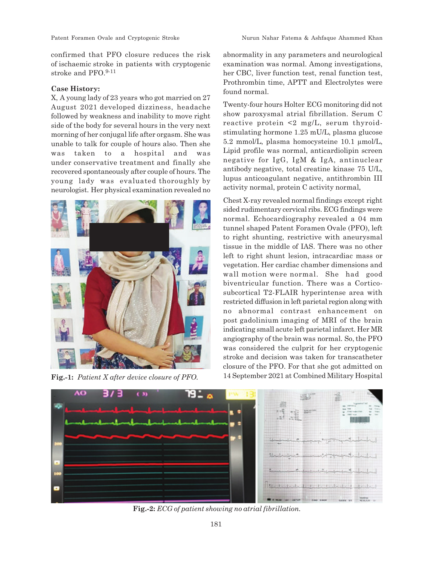confirmed that PFO closure reduces the risk of ischaemic stroke in patients with cryptogenic stroke and PFO.<sup>9-11</sup>

## **Case History:**

X, A young lady of 23 years who got married on 27 August 2021 developed dizziness, headache followed by weakness and inability to move right side of the body for several hours in the very next morning of her conjugal life after orgasm. She was unable to talk for couple of hours also. Then she was taken to a hospital and was under conservative treatment and finally she recovered spontaneously after couple of hours. The young lady was evaluated thoroughly by neurologist. Her physical examination revealed no



abnormality in any parameters and neurological examination was normal. Among investigations, her CBC, liver function test, renal function test, Prothrombin time, APTT and Electrolytes were found normal.

Twenty-four hours Holter ECG monitoring did not show paroxysmal atrial fibrillation. Serum C reactive protein <2 mg/L, serum thyroidstimulating hormone 1.25 mU/L, plasma glucose 5.2 mmol/L, plasma homocysteine 10.1 µmol/L, Lipid profile was normal, anticardiolipin screen negative for IgG, IgM & IgA, antinuclear antibody negative, total creatine kinase 75 U/L, lupus anticoagulant negative, antithrombin III activity normal, protein C activity normal,

Chest X-ray revealed normal findings except right sided rudimentary cervical ribs. ECG findings were normal. Echocardiography revealed a 04 mm tunnel shaped Patent Foramen Ovale (PFO), left to right shunting, restrictive with aneurysmal tissue in the middle of IAS. There was no other left to right shunt lesion, intracardiac mass or vegetation. Her cardiac chamber dimensions and wall motion were normal. She had good biventricular function. There was a Corticosubcortical T2-FLAIR hyperintense area with restricted diffusion in left parietal region along with no abnormal contrast enhancement on post gadolinium imaging of MRI of the brain indicating small acute left parietal infarct. Her MR angiography of the brain was normal. So, the PFO was considered the culprit for her cryptogenic stroke and decision was taken for transcatheter closure of the PFO. For that she got admitted on Fig.-1: Patient X after device closure of PFO. 14 September 2021 at Combined Military Hospital



**Fig.-2:** *ECG of patient showing no atrial fibrillation.*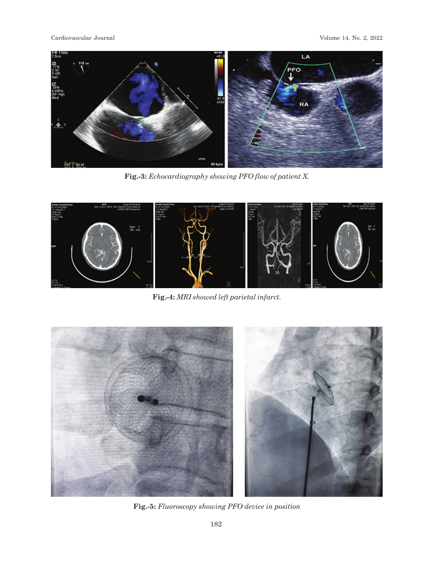Cardiovascular Journal Volume 14, No. 2, 2022



**Fig.-3:** *Echocardiography showing PFO flow of patient X.*



**Fig.-4:** *MRI showed left parietal infarct.*



**Fig.-5:** *Fluoroscopy showing PFO device in position*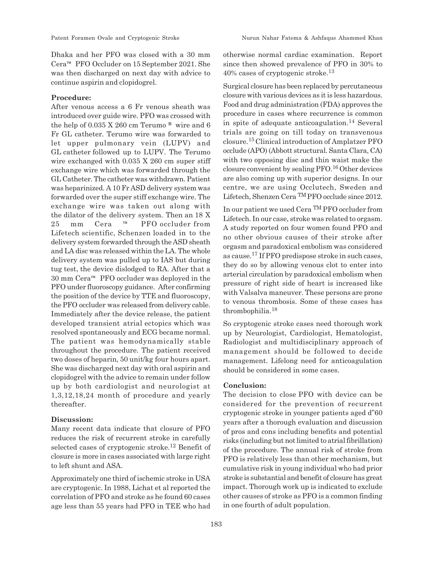Dhaka and her PFO was closed with a 30 mm Cera™ PFO Occluder on 15 September 2021. She was then discharged on next day with advice to continue aspirin and clopidogrel.

## **Procedure:**

After venous access a 6 Fr venous sheath was introduced over guide wire. PFO was crossed with the help of 0.035 X 260 cm Terumo ® wire and 6 Fr GL catheter. Terumo wire was forwarded to let upper pulmonary vein (LUPV) and GL catheter followed up to LUPV. The Terumo wire exchanged with 0.035 X 260 cm super stiff exchange wire which was forwarded through the GL Catheter. The catheter was withdrawn. Patient was heparinized. A 10 Fr ASD delivery system was forwarded over the super stiff exchange wire. The exchange wire was taken out along with the dilator of the delivery system. Then an 18 X 25 mm Cera ™ PFO occluder from Lifetech scientific, Schenzen loaded in to the delivery system forwarded through the ASD sheath and LA disc was released within the LA. The whole delivery system was pulled up to IAS but during tug test, the device dislodged to RA. After that a 30 mm Cera™ PFO occluder was deployed in the PFO under fluoroscopy guidance. After confirming the position of the device by TTE and fluoroscopy, the PFO occluder was released from delivery cable. Immediately after the device release, the patient developed transient atrial ectopics which was resolved spontaneously and ECG became normal. The patient was hemodynamically stable throughout the procedure. The patient received two doses of heparin, 50 unit/kg four hours apart. She was discharged next day with oral aspirin and clopidogrel with the advice to remain under follow up by both cardiologist and neurologist at 1,3,12,18,24 month of procedure and yearly thereafter.

## **Discussion:**

Many recent data indicate that closure of PFO reduces the risk of recurrent stroke in carefully selected cases of cryptogenic stroke.12 Benefit of closure is more in cases associated with large right to left shunt and ASA.

Approximately one third of ischemic stroke in USA are cryptogenic. In 1988, Lichat et al reported the correlation of PFO and stroke as he found 60 cases age less than 55 years had PFO in TEE who had otherwise normal cardiac examination. Report since then showed prevalence of PFO in 30% to 40% cases of cryptogenic stroke.<sup>13</sup>

Surgical closure has been replaced by percutaneous closure with various devices as it is less hazardous. Food and drug administration (FDA) approves the procedure in cases where recurrence is common in spite of adequate anticoagulation.<sup>14</sup> Several trials are going on till today on transvenous closure.15 Clinical introduction of Amplatzer PFO occlude (APO) (Abbott structural. Santa Clara, CA) with two opposing disc and thin waist make the closure convenient by sealing PFO.16 Other devices are also coming up with superior designs. In our centre, we are using Occlutech, Sweden and Lifetech, Shenzen Cera <sup>TM</sup> PFO occlude since 2012.

In our patient we used Cera TM PFO occluder from Lifetech. In our case, stroke was related to orgasm. A study reported on four women found PFO and no other obvious causes of their stroke after orgasm and paradoxical embolism was considered as cause.17 If PFO predispose stroke in such cases, they do so by allowing venous clot to enter into arterial circulation by paradoxical embolism when pressure of right side of heart is increased like with Valsalva maneuver. These persons are prone to venous thrombosis. Some of these cases has thrombophilia.<sup>18</sup>

So cryptogenic stroke cases need thorough work up by Neurologist, Cardiologist, Hematologist, Radiologist and multidisciplinary approach of management should be followed to decide management. Lifelong need for anticoagulation should be considered in some cases.

## **Conclusion:**

The decision to close PFO with device can be considered for the prevention of recurrent cryptogenic stroke in younger patients aged d"60 years after a thorough evaluation and discussion of pros and cons including benefits and potential risks (including but not limited to atrial fibrillation) of the procedure. The annual risk of stroke from PFO is relatively less than other mechanism, but cumulative risk in young individual who had prior stroke is substantial and benefit of closure has great impact. Thorough work up is indicated to exclude other causes of stroke as PFO is a common finding in one fourth of adult population.